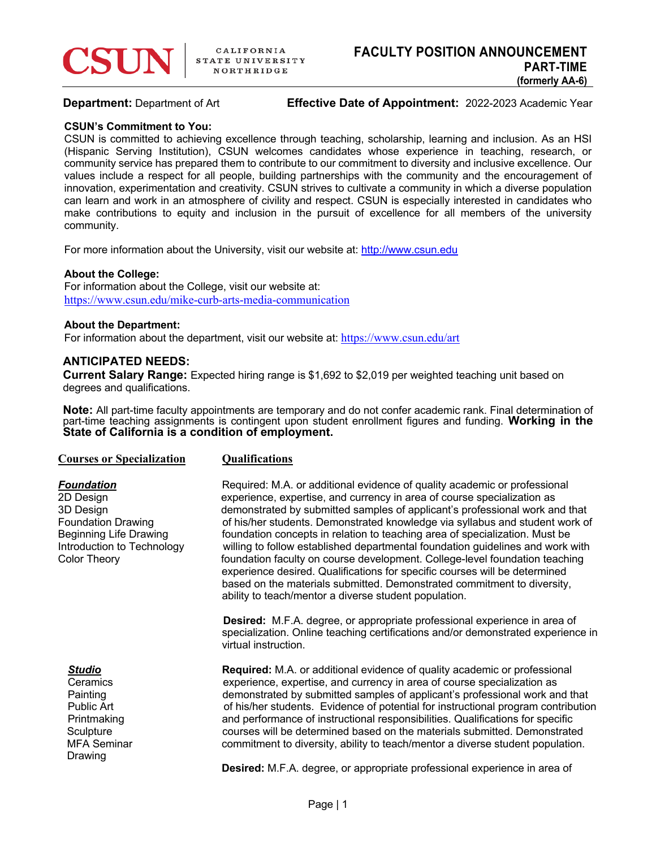

**Department:** Department of Art **Effective Date of Appointment:** 2022-2023 Academic Year

### **CSUN's Commitment to You:**

CSUN is committed to achieving excellence through teaching, scholarship, learning and inclusion. As an HSI (Hispanic Serving Institution), CSUN welcomes candidates whose experience in teaching, research, or community service has prepared them to contribute to our commitment to diversity and inclusive excellence. Our values include a respect for all people, building partnerships with the community and the encouragement of innovation, experimentation and creativity. CSUN strives to cultivate a community in which a diverse population can learn and work in an atmosphere of civility and respect. CSUN is especially interested in candidates who make contributions to equity and inclusion in the pursuit of excellence for all members of the university community.

For more information about the University, visit our website at: http://www.csun.edu

### **About the College:**

For information about the College, visit our website at: https://www.csun.edu/mike-curb-arts-media-communication

### **About the Department:**

For information about the department, visit our website at: https://www.csun.edu/art

# **ANTICIPATED NEEDS:**

**Current Salary Range:** Expected hiring range is \$1,692 to \$2,019 per weighted teaching unit based on degrees and qualifications.

**Note:** All part-time faculty appointments are temporary and do not confer academic rank. Final determination of part-time teaching assignments is contingent upon student enrollment figures and funding. Working in the State of California is a condition of employment.

Drawing

# **Courses or Specialization Qualifications**

**Foundation** Required: M.A. or additional evidence of quality academic or professional 2D Design experience, expertise, and currency in area of course specialization as<br>3D Design experience of applicant's professional work area of course specialization as demonstrated by submitted samples of applicant's professional work and that Foundation Drawing of his/her students. Demonstrated knowledge via syllabus and student work of Beginning Life Drawing **Foundation concepts in relation to teaching area of specialization.** Must be Introduction to Technology willing to follow established departmental foundation guidelines and work with Color Theory foundation faculty on course development. College-level foundation teaching experience desired. Qualifications for specific courses will be determined based on the materials submitted. Demonstrated commitment to diversity, ability to teach/mentor a diverse student population.

> **Desired:** M.F.A. degree, or appropriate professional experience in area of specialization. Online teaching certifications and/or demonstrated experience in virtual instruction.

**Studio Required:** M.A. or additional evidence of quality academic or professional Ceramics experience, expertise, and currency in area of course specialization as Painting demonstrated by submitted samples of applicant's professional work and that Public Art **of his/her students.** Evidence of potential for instructional program contribution Printmaking and performance of instructional responsibilities. Qualifications for specific Sculpture courses will be determined based on the materials submitted. Demonstrated MFA Seminar example of commitment to diversity, ability to teach/mentor a diverse student population.

**Desired:** M.F.A. degree, or appropriate professional experience in area of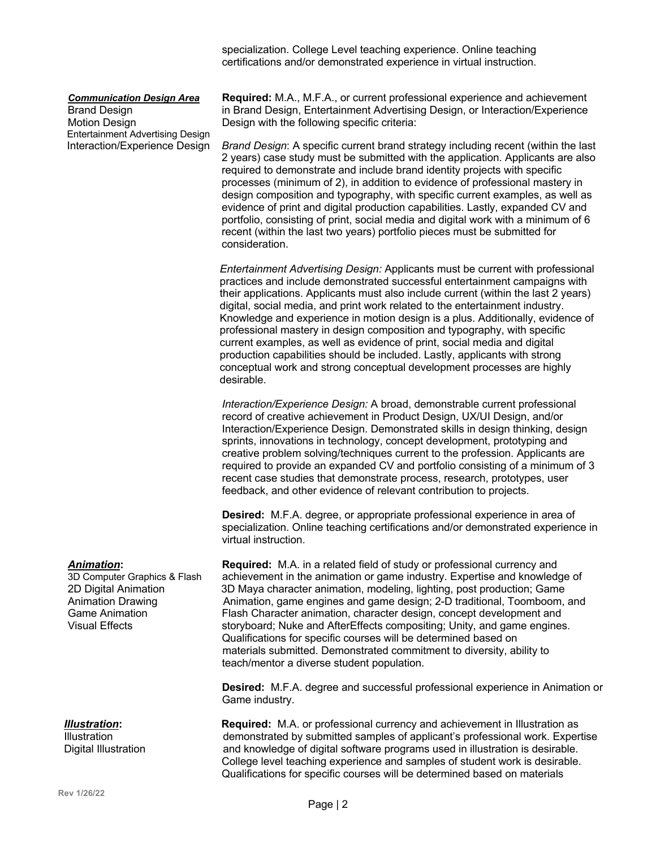specialization. College Level teaching experience. Online teaching certifications and/or demonstrated experience in virtual instruction.

Entertainment Advertising Design

*Communication Design Area* **Required:** M.A., M.F.A., or current professional experience and achievement Brand Design in Brand Design, Entertainment Advertising Design, or Interaction/Experience Motion Design **Design With the following specific criteria:** 

Interaction/Experience Design *Brand Design*: A specific current brand strategy including recent (within the last 2 years) case study must be submitted with the application. Applicants are also required to demonstrate and include brand identity projects with specific processes (minimum of 2), in addition to evidence of professional mastery in design composition and typography, with specific current examples, as well as evidence of print and digital production capabilities. Lastly, expanded CV and portfolio, consisting of print, social media and digital work with a minimum of 6 recent (within the last two years) portfolio pieces must be submitted for consideration.

> *Entertainment Advertising Design:* Applicants must be current with professional practices and include demonstrated successful entertainment campaigns with their applications. Applicants must also include current (within the last 2 years) digital, social media, and print work related to the entertainment industry. Knowledge and experience in motion design is a plus. Additionally, evidence of professional mastery in design composition and typography, with specific current examples, as well as evidence of print, social media and digital production capabilities should be included. Lastly, applicants with strong conceptual work and strong conceptual development processes are highly desirable.

> *Interaction/Experience Design:* A broad, demonstrable current professional record of creative achievement in Product Design, UX/UI Design, and/or Interaction/Experience Design. Demonstrated skills in design thinking, design sprints, innovations in technology, concept development, prototyping and creative problem solving/techniques current to the profession. Applicants are required to provide an expanded CV and portfolio consisting of a minimum of 3 recent case studies that demonstrate process, research, prototypes, user feedback, and other evidence of relevant contribution to projects.

> **Desired:** M.F.A. degree, or appropriate professional experience in area of specialization. Online teaching certifications and/or demonstrated experience in virtual instruction.

*Animation***: Required:** M.A. in a related field of study or professional currency and 3D Computer Graphics & Flash achievement in the animation or game industry. Expertise and knowledge of 2D Maya character animation, modeling, lighting, post production; Game 2D Digital Animation 3D Maya character animation, modeling, lighting, post production; Game<br>Animation Drawing **Animation, game engines and game design**; 2-D traditional, Toomboom, Animation, game engines and game design; 2-D traditional, Toomboom, and Game Animation Flash Character animation, character design, concept development and<br>Visual Effects composition: Unity, and game engines storyboard; Nuke and AfterEffects compositing; Unity, and game engines. Qualifications for specific courses will be determined based on materials submitted. Demonstrated commitment to diversity, ability to teach/mentor a diverse student population.

> **Desired:** M.F.A. degree and successful professional experience in Animation or Game industry.

 *Illustration***: Required:** M.A. or professional currency and achievement in Illustration as Illustration demonstrated by submitted samples of applicant's professional work. Expertise Digital Illustration and knowledge of digital software programs used in illustration is desirable. College level teaching experience and samples of student work is desirable. Qualifications for specific courses will be determined based on materials

**Rev 1/26/22**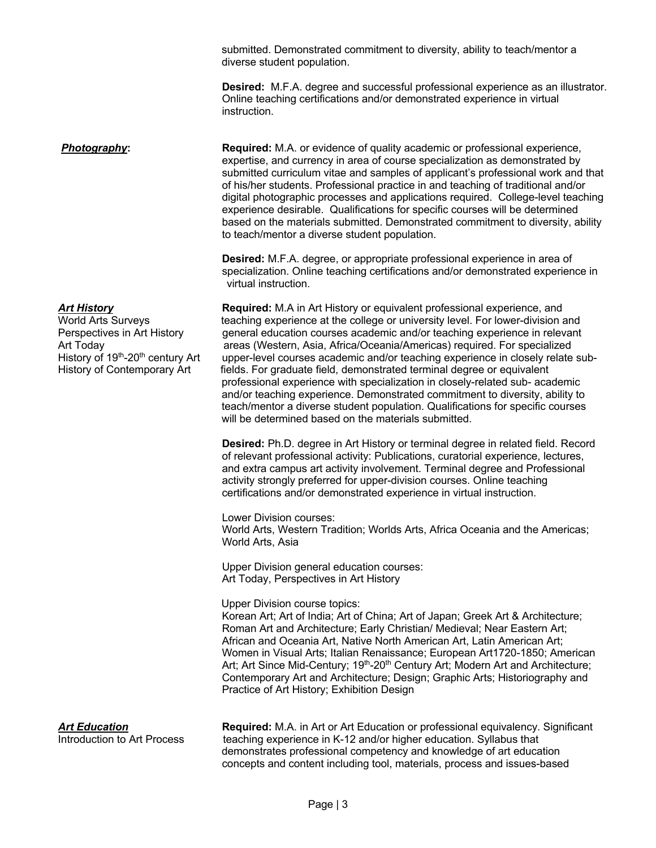submitted. Demonstrated commitment to diversity, ability to teach/mentor a diverse student population.

**Desired:** M.F.A. degree and successful professional experience as an illustrator. Online teaching certifications and/or demonstrated experience in virtual instruction.

**Photography: Required:** M.A. or evidence of quality academic or professional experience, expertise, and currency in area of course specialization as demonstrated by submitted curriculum vitae and samples of applicant's professional work and that of his/her students. Professional practice in and teaching of traditional and/or digital photographic processes and applications required. College-level teaching experience desirable. Qualifications for specific courses will be determined based on the materials submitted. Demonstrated commitment to diversity, ability to teach/mentor a diverse student population.

> **Desired:** M.F.A. degree, or appropriate professional experience in area of specialization. Online teaching certifications and/or demonstrated experience in virtual instruction.

*Art History* **Required:** M.A in Art History or equivalent professional experience, and World Arts Surveys teaching experience at the college or university level. For lower-division and Perspectives in Art History general education courses academic and/or teaching experience in relevant Art Today areas (Western, Asia, Africa/Oceania/Americas) required. For specialized<br>History of 19<sup>th</sup>-20<sup>th</sup> century Art upper-level courses academic and/or teaching experience in closely relate upper-level courses academic and/or teaching experience in closely relate sub-History of Contemporary Art fields. For graduate field, demonstrated terminal degree or equivalent professional experience with specialization in closely-related sub- academic and/or teaching experience. Demonstrated commitment to diversity, ability to teach/mentor a diverse student population. Qualifications for specific courses will be determined based on the materials submitted.

> **Desired:** Ph.D. degree in Art History or terminal degree in related field. Record of relevant professional activity: Publications, curatorial experience, lectures, and extra campus art activity involvement. Terminal degree and Professional activity strongly preferred for upper-division courses. Online teaching certifications and/or demonstrated experience in virtual instruction.

Lower Division courses: World Arts, Western Tradition; Worlds Arts, Africa Oceania and the Americas; World Arts, Asia

Upper Division general education courses: Art Today, Perspectives in Art History

Upper Division course topics:

Korean Art; Art of India; Art of China; Art of Japan; Greek Art & Architecture; Roman Art and Architecture; Early Christian/ Medieval; Near Eastern Art; African and Oceania Art, Native North American Art, Latin American Art; Women in Visual Arts; Italian Renaissance; European Art1720-1850; American Art; Art Since Mid-Century; 19<sup>th</sup>-20<sup>th</sup> Century Art; Modern Art and Architecture; Contemporary Art and Architecture; Design; Graphic Arts; Historiography and Practice of Art History; Exhibition Design

*Art Education* **Required:** M.A. in Art or Art Education or professional equivalency. Significant Introduction to Art Process teaching experience in K-12 and/or higher education. Syllabus that demonstrates professional competency and knowledge of art education concepts and content including tool, materials, process and issues-based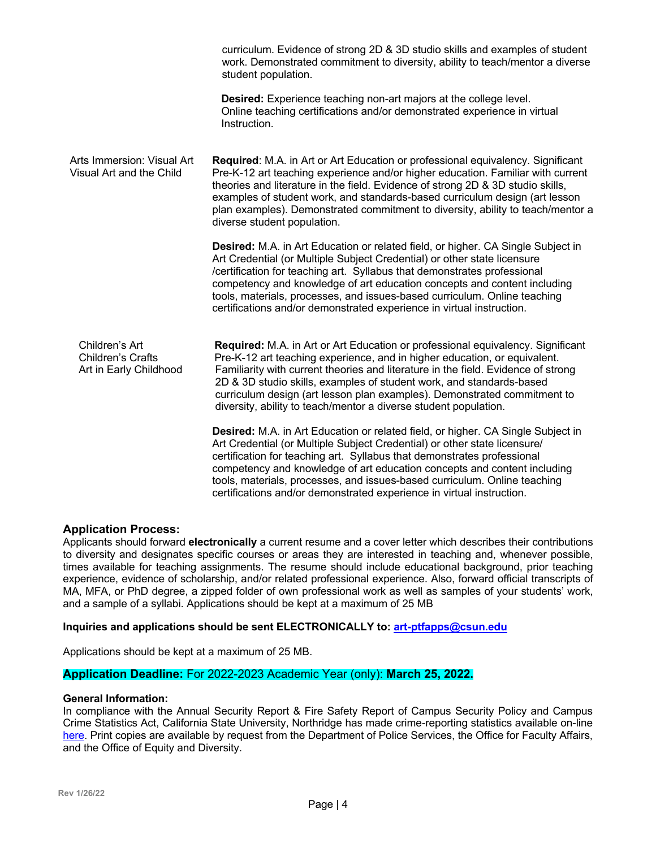|                                                                      | curriculum. Evidence of strong 2D & 3D studio skills and examples of student<br>work. Demonstrated commitment to diversity, ability to teach/mentor a diverse<br>student population.                                                                                                                                                                                                                                                                                       |
|----------------------------------------------------------------------|----------------------------------------------------------------------------------------------------------------------------------------------------------------------------------------------------------------------------------------------------------------------------------------------------------------------------------------------------------------------------------------------------------------------------------------------------------------------------|
|                                                                      | <b>Desired:</b> Experience teaching non-art majors at the college level.<br>Online teaching certifications and/or demonstrated experience in virtual<br>Instruction.                                                                                                                                                                                                                                                                                                       |
| Arts Immersion: Visual Art<br>Visual Art and the Child               | Required: M.A. in Art or Art Education or professional equivalency. Significant<br>Pre-K-12 art teaching experience and/or higher education. Familiar with current<br>theories and literature in the field. Evidence of strong 2D & 3D studio skills,<br>examples of student work, and standards-based curriculum design (art lesson<br>plan examples). Demonstrated commitment to diversity, ability to teach/mentor a<br>diverse student population.                     |
|                                                                      | Desired: M.A. in Art Education or related field, or higher. CA Single Subject in<br>Art Credential (or Multiple Subject Credential) or other state licensure<br>/certification for teaching art. Syllabus that demonstrates professional<br>competency and knowledge of art education concepts and content including<br>tools, materials, processes, and issues-based curriculum. Online teaching<br>certifications and/or demonstrated experience in virtual instruction. |
| Children's Art<br><b>Children's Crafts</b><br>Art in Early Childhood | Required: M.A. in Art or Art Education or professional equivalency. Significant<br>Pre-K-12 art teaching experience, and in higher education, or equivalent.<br>Familiarity with current theories and literature in the field. Evidence of strong<br>2D & 3D studio skills, examples of student work, and standards-based<br>curriculum design (art lesson plan examples). Demonstrated commitment to<br>diversity, ability to teach/mentor a diverse student population.  |
|                                                                      | Desired: M.A. in Art Education or related field, or higher. CA Single Subject in<br>Art Credential (or Multiple Subject Credential) or other state licensure/<br>certification for teaching art. Syllabus that demonstrates professional<br>competency and knowledge of art education concepts and content including<br>tools, materials, processes, and issues-based curriculum. Online teaching<br>certifications and/or demonstrated experience in virtual instruction. |

# **Application Process:**

Applicants should forward **electronically** a current resume and a cover letter which describes their contributions to diversity and designates specific courses or areas they are interested in teaching and, whenever possible, times available for teaching assignments. The resume should include educational background, prior teaching experience, evidence of scholarship, and/or related professional experience. Also, forward official transcripts of MA, MFA, or PhD degree, a zipped folder of own professional work as well as samples of your students' work, and a sample of a syllabi. Applications should be kept at a maximum of 25 MB

# **Inquiries and applications should be sent ELECTRONICALLY to: art-ptfapps@csun.edu**

Applications should be kept at a maximum of 25 MB.

# **Application Deadline:** For 2022-2023 Academic Year (only): **March 25, 2022.**

### **General Information:**

In compliance with the Annual Security Report & Fire Safety Report of Campus Security Policy and Campus Crime Statistics Act, California State University, Northridge has made crime-reporting statistics available on-line here. Print copies are available by request from the Department of Police Services, the Office for Faculty Affairs, and the Office of Equity and Diversity.